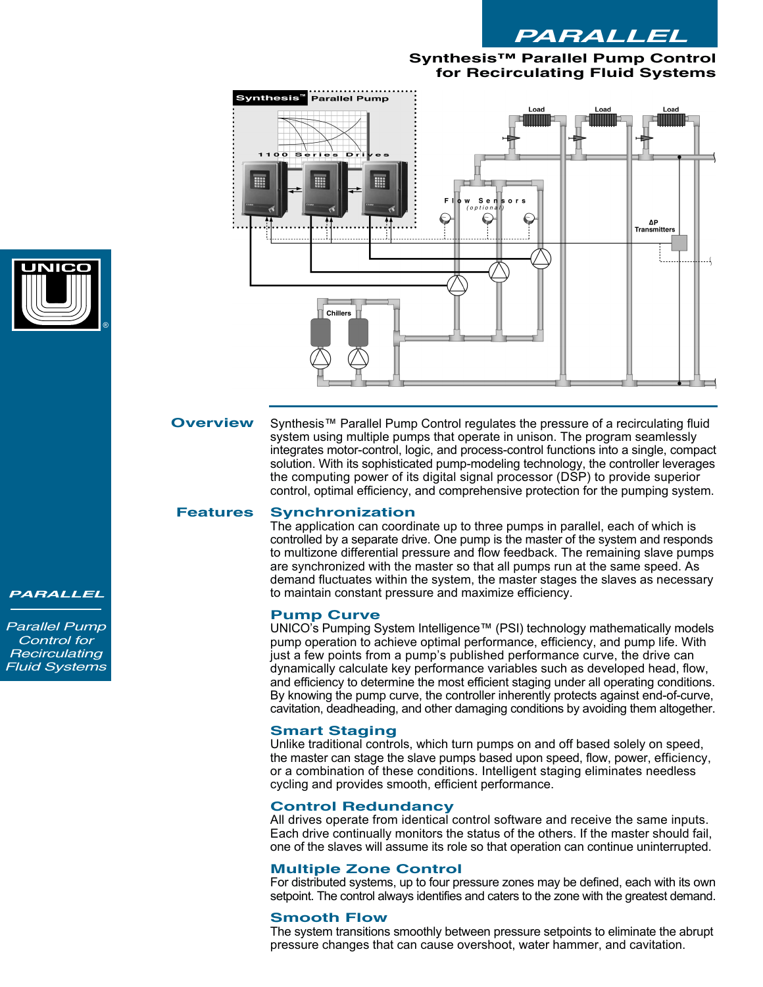

# **Synthesis™ Parallel Pump Control for Recirculating Fluid Systems**



Synthesis™ Parallel Pump Control regulates the pressure of a recirculating fluid system using multiple pumps that operate in unison. The program seamlessly integrates motor-control, logic, and process-control functions into a single, compact solution. With its sophisticated pump-modeling technology, the controller leverages the computing power of its digital signal processor (DSP) to provide superior control, optimal efficiency, and comprehensive protection for the pumping system. **Overview**

#### **Synchronization Features**

The application can coordinate up to three pumps in parallel, each of which is controlled by a separate drive. One pump is the master of the system and responds to multizone differential pressure and flow feedback. The remaining slave pumps are synchronized with the master so that all pumps run at the same speed. As demand fluctuates within the system, the master stages the slaves as necessary to maintain constant pressure and maximize efficiency.

#### **Pump Curve**

UNICO's Pumping System Intelligence™ (PSI) technology mathematically models pump operation to achieve optimal performance, efficiency, and pump life. With just a few points from a pump's published performance curve, the drive can dynamically calculate key performance variables such as developed head, flow, and efficiency to determine the most efficient staging under all operating conditions. By knowing the pump curve, the controller inherently protects against end-of-curve, cavitation, deadheading, and other damaging conditions by avoiding them altogether.

#### **Smart Staging**

Unlike traditional controls, which turn pumps on and off based solely on speed, the master can stage the slave pumps based upon speed, flow, power, efficiency, or a combination of these conditions. Intelligent staging eliminates needless cycling and provides smooth, efficient performance.

### **Control Redundancy**

All drives operate from identical control software and receive the same inputs. Each drive continually monitors the status of the others. If the master should fail, one of the slaves will assume its role so that operation can continue uninterrupted.

## **Multiple Zone Control**

For distributed systems, up to four pressure zones may be defined, each with its own setpoint. The control always identifies and caters to the zone with the greatest demand.

## **Smooth Flow**

The system transitions smoothly between pressure setpoints to eliminate the abrupt pressure changes that can cause overshoot, water hammer, and cavitation.



#### *PARALLEL*

*Parallel Pump Control for Recirculating Fluid Systems*